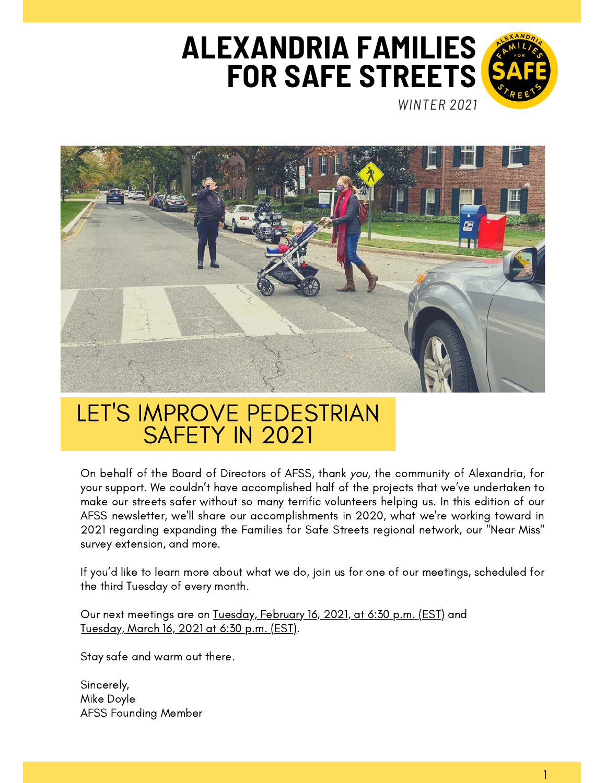# **ALEXANDRIA FAMILIES FOR SAFE STREETS**



*WINTER 2021*



## LET'S IMPROVE PEDESTRIAN SAFETY IN 2021

On behalf of the Board of Directors of AFSS, thank you, the community of Alexandria, for your support. We couldn't have accomplished half of the projects that we've undertaken to make our streets safer without so many terrific volunteers helping us. In this edition of our AFSS newsletter, we'll share our accomplishments in 2020, what we're working toward in 2021 regarding expanding the Families for Safe Streets regional network, our "Near Miss" survey extension, and more.

If you'd like to learn more about what we do, join us for one of our meetings, scheduled for the third Tuesday of every month.

Our next meetings are on Tuesday, February 16, 2021, at 6:30 p.m. (EST) and Tuesday, March 16, 2021 at 6:30 p.m. (EST).

Stay safe and warm out there.

Sincerely, Mike Doyle AFSS Founding Member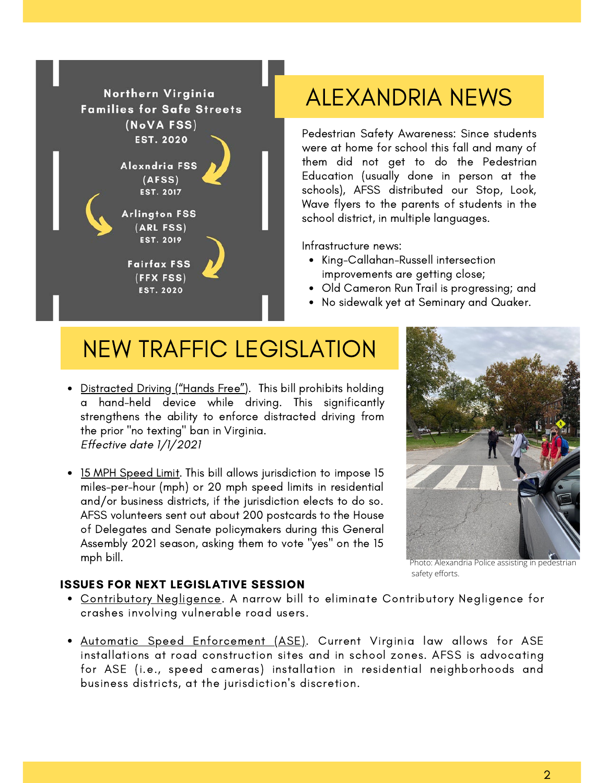

## ALEXANDRIA NEWS

Pedestrian Safety Awareness: Since students were at home for school this fall and many of them did not get to do the Pedestrian Education (usually done in person at the schools), AFSS distributed our Stop, Look, Wave flyers to the parents of students in the school district, in multiple languages.

Infrastructure news:

- King-Callahan-Russell intersection improvements are getting close;
- Old Cameron Run Trail is progressing; and
- No sidewalk yet at Seminary and Quaker.

## NEW TRAFFIC LEGISLATION

- Distracted Driving ("Hands Free"). This bill prohibits holding a hand-held device while driving. This significantly strengthens the ability to enforce distracted driving from the prior "no texting" ban in Virginia. Effective date 1/1/2021
- 15 MPH Speed Limit. This bill allows jurisdiction to impose 15 miles-per-hour (mph) or 20 mph speed limits in residential and/or business districts, if the jurisdiction elects to do so. AFSS volunteers sent out about 200 postcards to the House of Delegates and Senate policymakers during this General Assembly 2021 season, asking them to vote "yes" on the 15 mph bill.



Photo: Alexandria Police assisting in pedestrian safety efforts.

#### ISSUES FOR NEXT LEGISLATIVE SESSION

- Contributory Negligence. A narrow bill to eliminate Contributory Negligence for crashes involving vulnerable road users.
- Automatic Speed Enforcement (ASE). Current Virginia law allows for ASE installations at road construction sites and in school zones. AFSS is advocating for ASE (i.e., speed cameras) installation in residential neighborhoods and business districts, at the jurisdiction's discretion.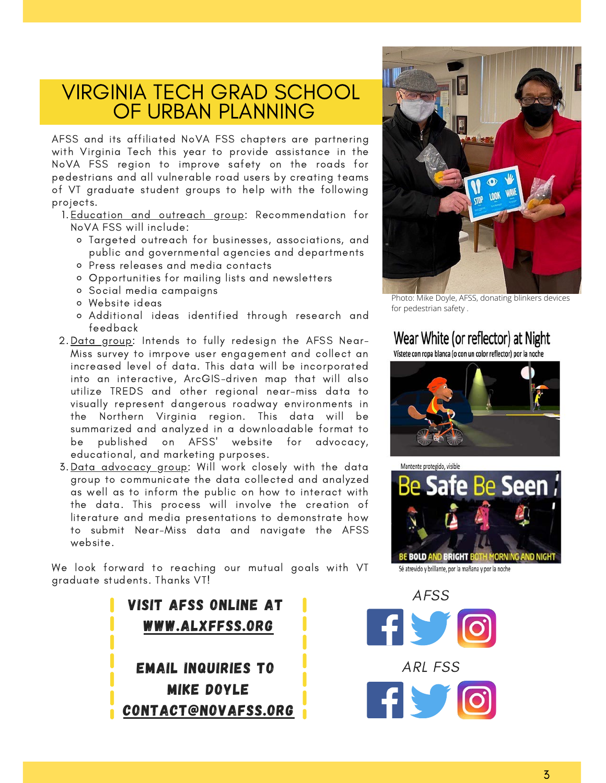### VIRGINIA TECH GRAD SCHOOL OF URBAN PLANNING

AFSS and its affiliated NoVA FSS chapters are partnering with Virginia Tech this year to provide assistance in the NoVA FSS region to improve safety on the roads for pedestrians and all vulnerable road users by creating teams of VT graduate student groups to help with the following projects.

1.<u>Education and outreach group</u>: Recommendation for NoVA FSS will include:

- Targeted outreach for businesses, associations, and public and governmental agencies and departments
- Press releases and media contacts
- Opportunities for mailing lists and newsletters
- Social media campaigns
- Website ideas
- Additional ideas identified through research and feedback
- 2.<u>Data group</u>: Intends to fully redesign the AFSS Near-Miss survey to imrpove user engagement and collect an increased level of data. This data will be incorporated into an interactive, ArcGIS-driven map that will also utilize TREDS and other regional near-miss data to visually represent dangerous roadway environments in the Northern Virginia region. This data will be summarized and analyzed in a downloadable format to be published on AFSS' website for advocacy, educational, and marketing purposes.
- 3. <u>Data advocacy group</u>: Will work closely with the data group to communicate the data collected and analyzed as well as to inform the public on how to interact with the data. This process will involve the creation of literature and media presentations to demonstrate how to submit Near-Miss data and navigate the AFSS website.

We look forward to reaching our mutual goals with VT graduate students. Thanks VT!





Photo: Mike Doyle, AFSS, donating blinkers devices for pedestrian safety .

#### Wear White (or reflector) at Night

Vístete con ropa blanca (o con un color reflector) por la noche





Sé atrevido y brillante, por la mañana y por la noche